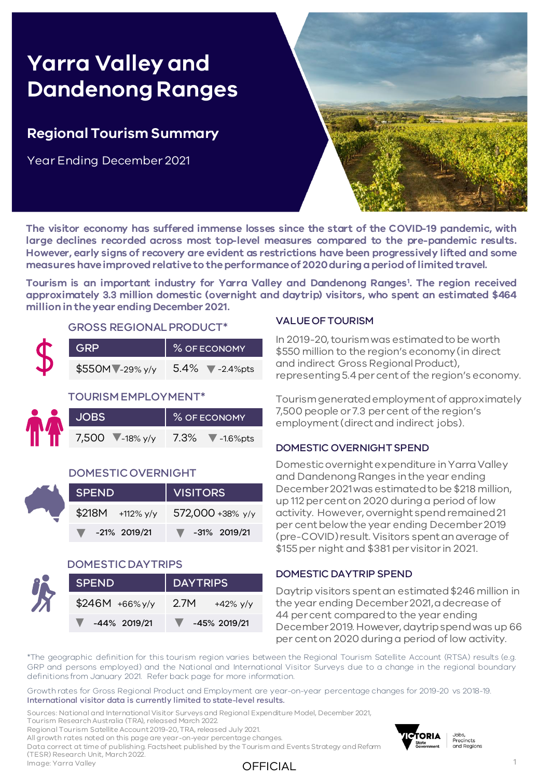# **Yarra Valley and Dandenong Ranges**

## **Regional Tourism Summary**

Year Ending December 2021



**The visitor economy has suffered immense losses since the start of the COVID-19 pandemic, with large declines recorded across most top-level measures compared to the pre-pandemic results. However, early signs of recovery are evident as restrictions have been progressively lifted and some measures haveimprovedrelativeto theperformanceof 2020duringaperiodoflimitedtravel.**

**Tourism is an important industry for Yarra Valley and Dandenong Ranges<sup>1</sup> . The region received approximately 3.3 million domestic (overnight and daytrip) visitors, who spent an estimated \$464 million intheyear ending December 2021.**

#### GROSS REGIONAL PRODUCT\*

| <b>GRP</b>      | % OF ECONOMY                            |
|-----------------|-----------------------------------------|
| \$550MV-29% y/y | $5.4\%$ $\blacktriangledown$ -2.4\times |

#### TOURISM EMPLOYMENT\*

|                 | % OF ECONOMY                          |
|-----------------|---------------------------------------|
| 7,500 ▼-18% y/y | $\blacktriangledown$ -1.6%pts<br>7.3% |

#### DOMESTIC OVERNIGHT

| SPEND                             | VISITORS               |  |  |  |  |
|-----------------------------------|------------------------|--|--|--|--|
| \$218M +112% y/y 572,000 +38% y/y |                        |  |  |  |  |
| $\blacktriangledown$ -21% 2019/21 | $\sqrt{}$ -31% 2019/21 |  |  |  |  |

#### DOMESTIC DAYTRIPS

| SPEND              | <b>DAYTRIPS</b>    |  |  |  |  |
|--------------------|--------------------|--|--|--|--|
| $$246M + 66\%$ y/y | 2.7M<br>+42% $y/y$ |  |  |  |  |
| -44% 2019/21       | -45% 2019/21       |  |  |  |  |

#### VALUE OF TOURISM

In 2019-20, tourism was estimated to be worth \$550 million to the region's economy (in direct and indirect Gross Regional Product), representing 5.4 per cent of the region's economy.

Tourism generated employment of approximately 7,500 people or 7.3 per cent of the region's employment (direct and indirect jobs).

#### DOMESTIC OVERNIGHT SPEND

Domestic overnight expenditure in Yarra Valley and Dandenong Ranges in the year ending December 2021 was estimated to be \$218 million, up 112 per cent on 2020 during a period of low activity. However, overnight spend remained 21 per cent below the year ending December 2019 (pre-COVID) result. Visitors spent an average of \$155 per night and \$381 per visitor in 2021.

#### DOMESTIC DAYTRIP SPEND

Daytrip visitors spent an estimated \$246 million in the year ending December 2021, a decrease of 44 per cent compared to the year ending December 2019. However, daytrip spend was up 66 per cent on 2020 during a period of low activity.

\*The geographic definition for this tourism region varies between the Regional Tourism Satellite Account (RTSA) results (e.g. GRP and persons employed) and the National and International Visitor Surveys due to a change in the regional boundary definitions from January 2021. Refer back page for more information.

Growth rates for Gross Regional Product and Employment are year-on-year percentage changes for 2019-20 vs 2018-19. International visitor data is currently limited to state-level results.

Sources: National and International Visitor Surveys and Regional Expenditure Model, December 2021,

Tourism Research Australia (TRA), released March 2022.

Regional Tourism Satellite Account 2019-20, TRA, released July 2021.

All growth rates noted on this page are year-on-year percentage changes.

Data correct at time of publishing. Factsheet published by the Tourism and Events Strategy and Reform (TESR) Research Unit, March 2022. Image: Yarra Valley



### OFFICIAL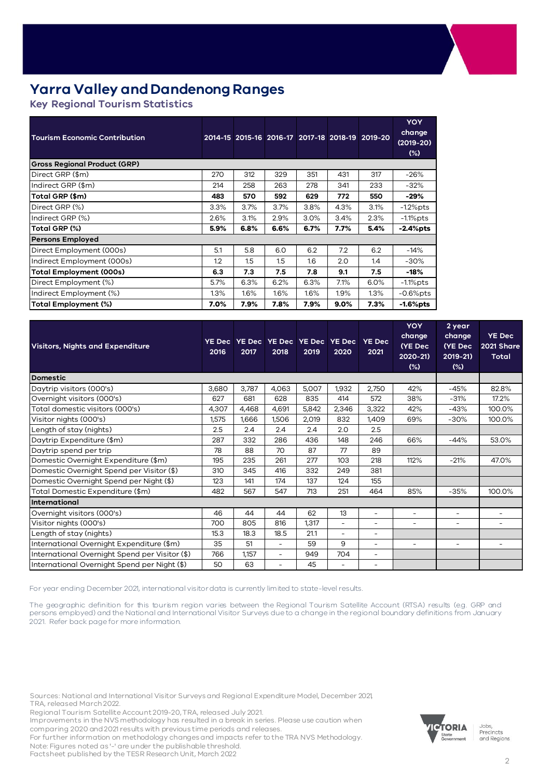# **Yarra Valley and Dandenong Ranges**

**Key Regional Tourism Statistics** 

| <b>Tourism Economic Contribution</b> |      |      | 2014-15 2015-16 2016-17 2017-18 2018-19 |      |         | 2019-20 | <b>YOY</b><br>change<br>$(2019-20)$<br>$(\%)$ |
|--------------------------------------|------|------|-----------------------------------------|------|---------|---------|-----------------------------------------------|
| <b>Gross Regional Product (GRP)</b>  |      |      |                                         |      |         |         |                                               |
| Direct GRP (\$m)                     | 270  | 312  | 329                                     | 351  | 431     | 317     | $-26%$                                        |
| Indirect GRP (\$m)                   | 214  | 258  | 263                                     | 278  | 341     | 233     | $-32%$                                        |
| Total GRP (\$m)                      | 483  | 570  | 592                                     | 629  | 772     | 550     | $-29%$                                        |
| Direct GRP (%)                       | 3.3% | 3.7% | 3.7%                                    | 3.8% | 4.3%    | 3.1%    | $-1.2%$ pts                                   |
| Indirect GRP (%)                     | 2.6% | 3.1% | 2.9%                                    | 3.0% | 3.4%    | 2.3%    | -1.1%pts                                      |
| Total GRP (%)                        | 5.9% | 6.8% | 6.6%                                    | 6.7% | 7.7%    | 5.4%    | $-2.4\%$ pts                                  |
| <b>Persons Employed</b>              |      |      |                                         |      |         |         |                                               |
| Direct Employment (000s)             | 5.1  | 5.8  | 6.0                                     | 6.2  | 7.2     | 6.2     | $-14%$                                        |
| Indirect Employment (000s)           | 1.2  | 1.5  | 1.5                                     | 1.6  | 2.0     | 1.4     | $-30%$                                        |
| Total Employment (000s)              | 6.3  | 7.3  | 7.5                                     | 7.8  | 9.1     | 7.5     | -18%                                          |
| Direct Employment (%)                | 5.7% | 6.3% | 6.2%                                    | 6.3% | 7.1%    | 6.0%    | $-1.1\%$ pts                                  |
| Indirect Employment (%)              | 1.3% | 1.6% | 1.6%                                    | 1.6% | $1.9\%$ | 1.3%    | $-0.6%$ pts                                   |
| Total Employment (%)                 | 7.0% | 7.9% | 7.8%                                    | 7.9% | $9.0\%$ | 7.3%    | $-1.6%$ pts                                   |

| <b>Visitors, Nights and Expenditure</b>        | <b>YE Dec</b><br>2016 | 2017  | 2018                     | YE Dec YE Dec YE Dec YE Dec<br>2019 | 2020                     | <b>YE Dec</b><br>2021    | <b>YOY</b><br>change<br>(YE Dec<br>2020-21)<br>$(\%)$ | 2 year<br>change<br>(YE Dec<br>2019-21)<br>(%) | <b>YE Dec</b><br>2021 Share<br><b>Total</b> |
|------------------------------------------------|-----------------------|-------|--------------------------|-------------------------------------|--------------------------|--------------------------|-------------------------------------------------------|------------------------------------------------|---------------------------------------------|
| <b>Domestic</b>                                |                       |       |                          |                                     |                          |                          |                                                       |                                                |                                             |
| Daytrip visitors (000's)                       | 3,680                 | 3,787 | 4,063                    | 5,007                               | 1,932                    | 2,750                    | 42%                                                   | $-45%$                                         | 82.8%                                       |
| Overnight visitors (000's)                     | 627                   | 681   | 628                      | 835                                 | 414                      | 572                      | 38%                                                   | $-31%$                                         | 17.2%                                       |
| Total domestic visitors (000's)                | 4,307                 | 4,468 | 4,691                    | 5,842                               | 2,346                    | 3,322                    | 42%                                                   | $-43%$                                         | 100.0%                                      |
| Visitor nights (000's)                         | 1,575                 | 1,666 | 1,506                    | 2,019                               | 832                      | 1,409                    | 69%                                                   | $-30%$                                         | 100.0%                                      |
| Length of stay (nights)                        | 2.5                   | 2.4   | 2.4                      | 2.4                                 | 2.0                      | 2.5                      |                                                       |                                                |                                             |
| Daytrip Expenditure (\$m)                      | 287                   | 332   | 286                      | 436                                 | 148                      | 246                      | 66%                                                   | $-44%$                                         | 53.0%                                       |
| Daytrip spend per trip                         | 78                    | 88    | 70                       | 87                                  | 77                       | 89                       |                                                       |                                                |                                             |
| Domestic Overnight Expenditure (\$m)           | 195                   | 235   | 261                      | 277                                 | 103                      | 218                      | 112%                                                  | $-21%$                                         | 47.0%                                       |
| Domestic Overnight Spend per Visitor (\$)      | 310                   | 345   | 416                      | 332                                 | 249                      | 381                      |                                                       |                                                |                                             |
| Domestic Overnight Spend per Night (\$)        | 123                   | 141   | 174                      | 137                                 | 124                      | 155                      |                                                       |                                                |                                             |
| Total Domestic Expenditure (\$m)               | 482                   | 567   | 547                      | 713                                 | 251                      | 464                      | 85%                                                   | $-35%$                                         | 100.0%                                      |
| International                                  |                       |       |                          |                                     |                          |                          |                                                       |                                                |                                             |
| Overnight visitors (000's)                     | 46                    | 44    | 44                       | 62                                  | 13                       | $\overline{\phantom{a}}$ | $\overline{\phantom{a}}$                              | ٠                                              | ٠                                           |
| Visitor nights (000's)                         | 700                   | 805   | 816                      | 1,317                               | $\overline{\phantom{0}}$ | $\overline{\phantom{a}}$ | ۰.                                                    | ۰.                                             | -                                           |
| Length of stay (nights)                        | 15.3                  | 18.3  | 18.5                     | 21.1                                | ÷,                       | $\overline{\phantom{a}}$ |                                                       |                                                |                                             |
| International Overnight Expenditure (\$m)      | 35                    | 51    | $\overline{\phantom{0}}$ | 59                                  | 9                        | $\overline{\phantom{a}}$ | $\overline{\phantom{a}}$                              | $\sim$                                         | $\overline{\phantom{0}}$                    |
| International Overnight Spend per Visitor (\$) | 766                   | 1.157 | ÷.                       | 949                                 | 704                      | $\overline{\phantom{a}}$ |                                                       |                                                |                                             |
| International Overnight Spend per Night (\$)   | 50                    | 63    | $\overline{\phantom{0}}$ | 45                                  | $\overline{\phantom{0}}$ | $\overline{\phantom{a}}$ |                                                       |                                                |                                             |

For year ending December 2021, international visitor data is currently limited to state-level results.

The geographic definition for this tourism region varies between the Regional Tourism Satellite Account (RTSA) results (e.g. GRP and persons employed) and the National and International Visitor Surveys due to a change in the regional boundary definitions from January 2021. Refer back page for more information.

Sources: National and International Visitor Surveys and Regional Expenditure Model, December 2021, TRA, released March 2022.

Regional Tourism Satellite Account 2019-20, TRA, released July 2021.

Improvements in the NVS methodology has resulted in a break in series. Please use caution when comparing 2020 and 2021 results with previous time periods and releases.

For further information on methodology changes and impacts refer to the TRA NVS Methodology. Note: Figures noted as '-' are under the publishable threshold.

Factsheet published by the TESR Research Unit, March 2022